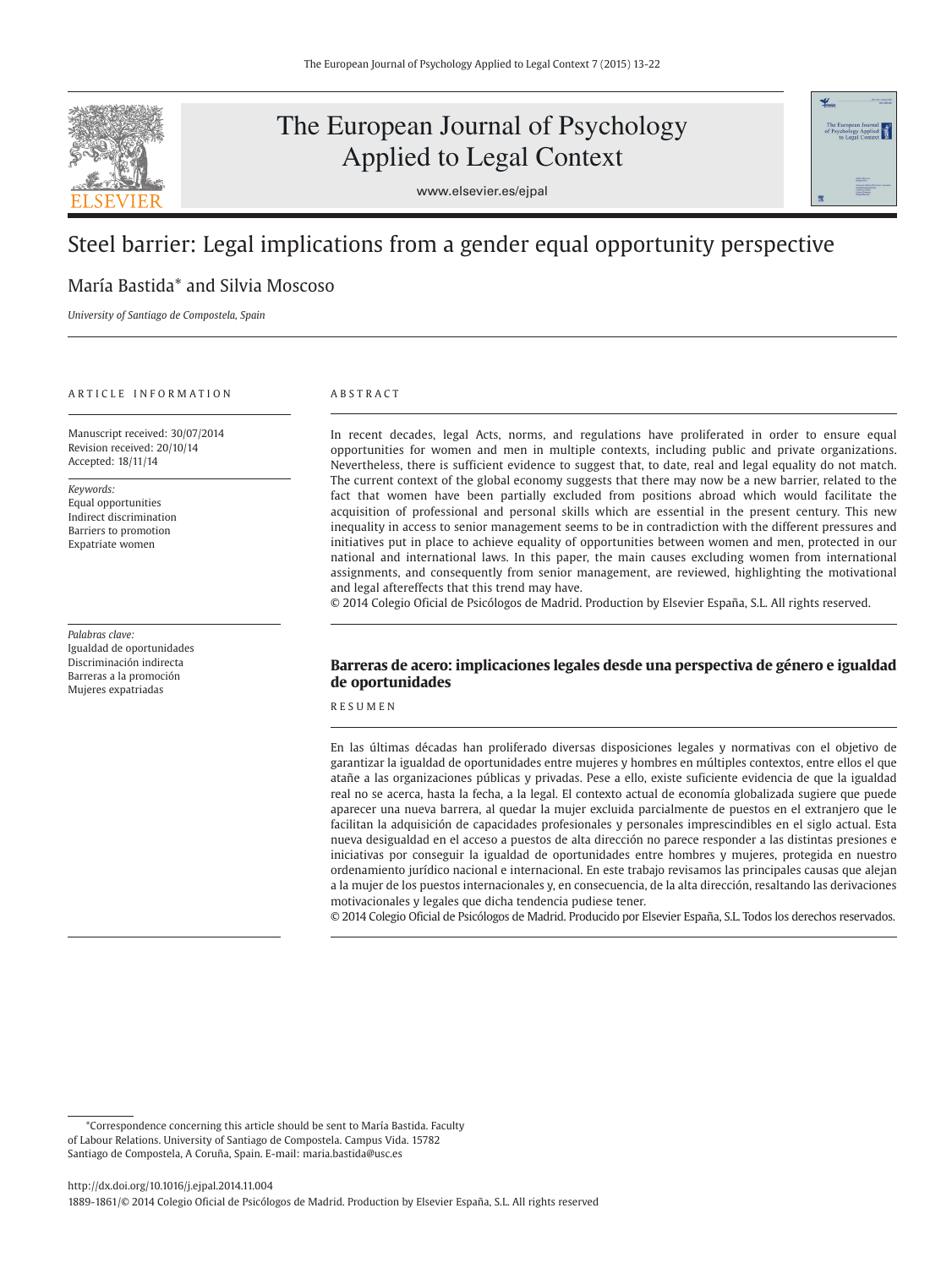

# The European Journal of Psychology Applied to Legal Context





## Steel barrier: Legal implications from a gender equal opportunity perspective

## María Bastida\* and Silvia Moscoso

*University of Santiago de Compostela, Spain*

## A R T I C L E L IN FOR M A T LON

Manuscript received: 30/07/2014 Revision received: 20/10/14 Accepted: 18/11/14

*Keywords:* Equal opportunities Indirect discrimination Barriers to promotion Expatriate women

*Palabras clave:*  Igualdad de oportunidades Discriminación indirecta Barreras a la promoción Mujeres expatriadas

## A B S T R A C T

In recent decades, legal Acts, norms, and regulations have proliferated in order to ensure equal opportunities for women and men in multiple contexts, including public and private organizations. Nevertheless, there is sufficient evidence to suggest that, to date, real and legal equality do not match. The current context of the global economy suggests that there may now be a new barrier, related to the fact that women have been partially excluded from positions abroad which would facilitate the acquisition of professional and personal skills which are essential in the present century. This new inequality in access to senior management seems to be in contradiction with the different pressures and initiatives put in place to achieve equality of opportunities between women and men, protected in our national and international laws. In this paper, the main causes excluding women from international assignments, and consequently from senior management, are reviewed, highlighting the motivational and legal aftereffects that this trend may have.

© 2014 Colegio Oficial de Psicólogos de Madrid. Production by Elsevier España, S.L. All rights reserved.

## **Barreras de acero: implicaciones legales desde una perspectiva de género e igualdad de oportunidades**

R E S U M E N

En las últimas décadas han proliferado diversas disposiciones legales y normativas con el objetivo de garantizar la igualdad de oportunidades entre mujeres y hombres en múltiples contextos, entre ellos el que atañe a las organizaciones públicas y privadas. Pese a ello, existe suficiente evidencia de que la igualdad real no se acerca, hasta la fecha, a la legal. El contexto actual de economía globalizada sugiere que puede aparecer una nueva barrera, al quedar la mujer excluida parcialmente de puestos en el extranjero que le facilitan la adquisición de capacidades profesionales y personales imprescindibles en el siglo actual. Esta nueva desigualdad en el acceso a puestos de alta dirección no parece responder a las distintas presiones e iniciativas por conseguir la igualdad de oportunidades entre hombres y mujeres, protegida en nuestro ordenamiento jurídico nacional e internacional. En este trabajo revisamos las principales causas que alejan a la mujer de los puestos internacionales y, en consecuencia, de la alta dirección, resaltando las derivaciones motivacionales y legales que dicha tendencia pudiese tener.

© 2014 Colegio Oficial de Psicólogos de Madrid. Producido por Elsevier España, S.L. Todos los derechos reservados.

<sup>\*</sup>Correspondence concerning this article should be sent to María Bastida. Faculty of Labour Relations. University of Santiago de Compostela. Campus Vida. 15782 Santiago de Compostela, A Coruña, Spain. E-mail: maria.bastida@usc.es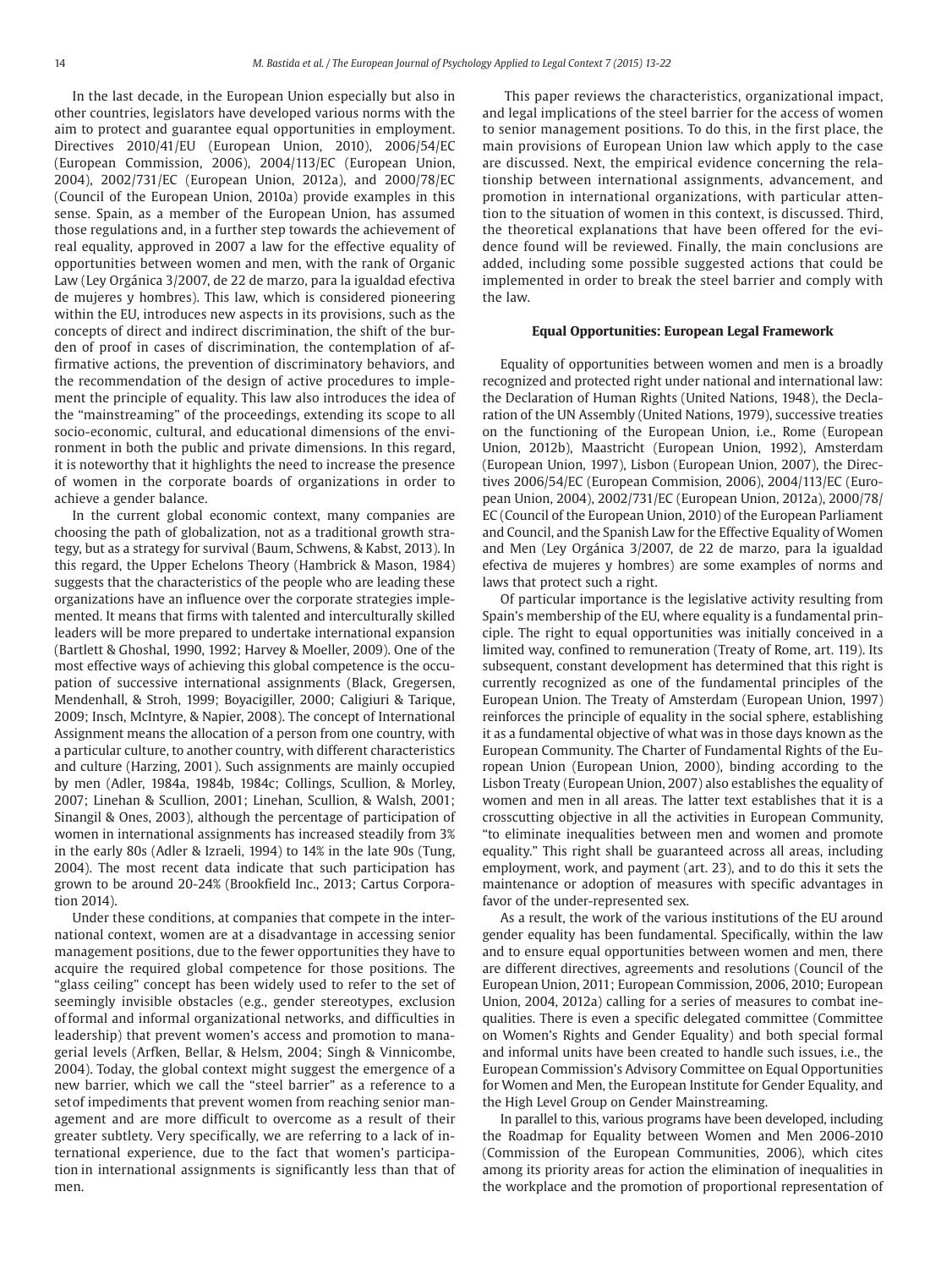In the last decade, in the European Union especially but also in other countries, legislators have developed various norms with the aim to protect and guarantee equal opportunities in employment. Directives 2010/41/EU (European Union, 2010), 2006/54/EC ( European Commission, 2006), 2004/113/EC (European Union, 2004), 2002/731/EC (European Union, 2012a), and 2000/78/EC (Council of the European Union, 2010a) provide examples in this sense. Spain, as a member of the European Union, has assumed those regulations and, in a further step towards the achievement of real equality, approved in 2007 a law for the effective equality of opportunities between women and men, with the rank of Organic Law (Ley Orgánica 3/2007, de 22 de marzo, para la igualdad efectiva de mujeres y hombres). This law, which is considered pioneering within the EU, introduces new aspects in its provisions, such as the concepts of direct and indirect discrimination, the shift of the burden of proof in cases of discrimination, the contemplation of affirmative actions, the prevention of discriminatory behaviors, and the recommendation of the design of active procedures to implement the principle of equality. This law also introduces the idea of the "mainstreaming" of the proceedings, extending its scope to all socio-economic, cultural, and educational dimensions of the environment in both the public and private dimensions. In this regard, it is noteworthy that it highlights the need to increase the presence of women in the corporate boards of organizations in order to achieve a gender balance.

In the current global economic context, many companies are choosing the path of globalization, not as a traditional growth strategy, but as a strategy for survival (Baum, Schwens, & Kabst, 2013). In this regard, the Upper Echelons Theory (Hambrick & Mason, 1984) suggests that the characteristics of the people who are leading these organizations have an influence over the corporate strategies implemented. It means that firms with talented and interculturally skilled leaders will be more prepared to undertake international expansion (Bartlett & Ghoshal, 1990, 1992; Harvey & Moeller, 2009). One of the most effective ways of achieving this global competence is the occupation of successive international assignments (Black, Gregersen, Mendenhall, & Stroh, 1999; Boyacigiller, 2000; Caligiuri & Tarique, 2009; Insch, McIntyre, & Napier, 2008). The concept of International Assignment means the allocation of a person from one country, with a particular culture, to another country, with different characteristics and culture (Harzing, 2001). Such assignments are mainly occupied by men (Adler, 1984a, 1984b, 1984c; Collings, Scullion, & Morley, 2007; Linehan & Scullion, 2001; Linehan, Scullion, & Walsh, 2001; Sinangil & Ones, 2003), although the percentage of participation of women in international assignments has increased steadily from 3% in the early 80s (Adler & Izraeli, 1994) to 14% in the late 90s (Tung, 2004). The most recent data indicate that such participation has grown to be around 20-24% (Brookfield Inc., 2013; Cartus Corporation 2014).

Under these conditions, at companies that compete in the international context, women are at a disadvantage in accessing senior management positions, due to the fewer opportunities they have to acquire the required global competence for those positions. The "glass ceiling" concept has been widely used to refer to the set of seemingly invisible obstacles (e.g., gender stereotypes, exclusion of formal and informal organizational networks, and difficulties in leadership) that prevent women's access and promotion to managerial levels (Arfken, Bellar, & Helsm, 2004; Singh & Vinnicombe, 2004). Today, the global context might suggest the emergence of a new barrier, which we call the "steel barrier" as a reference to a set of impediments that prevent women from reaching senior management and are more difficult to overcome as a result of their greater subtlety. Very specifically, we are referring to a lack of international experience, due to the fact that women's participation in international assignments is significantly less than that of men.

 This paper reviews the characteristics, organizational impact, and legal implications of the steel barrier for the access of women to senior management positions. To do this, in the first place, the main provisions of European Union law which apply to the case are discussed. Next, the empirical evidence concerning the relationship between international assignments, advancement, and promotion in international organizations, with particular attention to the situation of women in this context, is discussed. Third, the theoretical explanations that have been offered for the evidence found will be reviewed. Finally, the main conclusions are added, including some possible suggested actions that could be implemented in order to break the steel barrier and comply with the law.

#### **Equal Opportunities: European Legal Framework**

Equality of opportunities between women and men is a broadly recognized and protected right under national and international law: the Declaration of Human Rights (United Nations, 1948), the Declaration of the UN Assembly (United Nations, 1979), successive treaties on the functioning of the European Union, i.e., Rome (European Union, 2012b), Maastricht (European Union, 1992), Amsterdam (European Union, 1997), Lisbon (European Union, 2007), the Directives 2006/54/EC (European Commision, 2006), 2004/113/EC (European Union, 2004), 2002/731/EC (European Union, 2012a), 2000/78/ EC (Council of the European Union, 2010) of the European Parliament and Council, and the Spanish Law for the Effective Equality of Women and Men (Ley Orgánica 3/2007, de 22 de marzo, para la igualdad efectiva de mujeres y hombres) are some examples of norms and laws that protect such a right.

Of particular importance is the legislative activity resulting from Spain's membership of the EU, where equality is a fundamental principle. The right to equal opportunities was initially conceived in a limited way, confined to remuneration (Treaty of Rome, art. 119). Its subsequent, constant development has determined that this right is currently recognized as one of the fundamental principles of the European Union. The Treaty of Amsterdam (European Union, 1997) reinforces the principle of equality in the social sphere, establishing it as a fundamental objective of what was in those days known as the European Community. The Charter of Fundamental Rights of the European Union (European Union, 2000), binding according to the Lisbon Treaty (European Union, 2007) also establishes the equality of women and men in all areas. The latter text establishes that it is a crosscutting objective in all the activities in European Community, "to eliminate inequalities between men and women and promote equality." This right shall be guaranteed across all areas, including employment, work, and payment (art. 23), and to do this it sets the maintenance or adoption of measures with specific advantages in favor of the under-represented sex.

As a result, the work of the various institutions of the EU around gender equality has been fundamental. Specifically, within the law and to ensure equal opportunities between women and men, there are different directives, agreements and resolutions (Council of the European Union, 2011; European Commission, 2006, 2010; European Union, 2004, 2012a) calling for a series of measures to combat inequalities. There is even a specific delegated committee (Committee on Women's Rights and Gender Equality) and both special formal and informal units have been created to handle such issues, i.e., the European Commission's Advisory Committee on Equal Opportunities for Women and Men, the European Institute for Gender Equality, and the High Level Group on Gender Mainstreaming.

In parallel to this, various programs have been developed, including the Roadmap for Equality between Women and Men 2006-2010 (Commission of the European Communities, 2006), which cites among its priority areas for action the elimination of inequalities in the workplace and the promotion of proportional representation of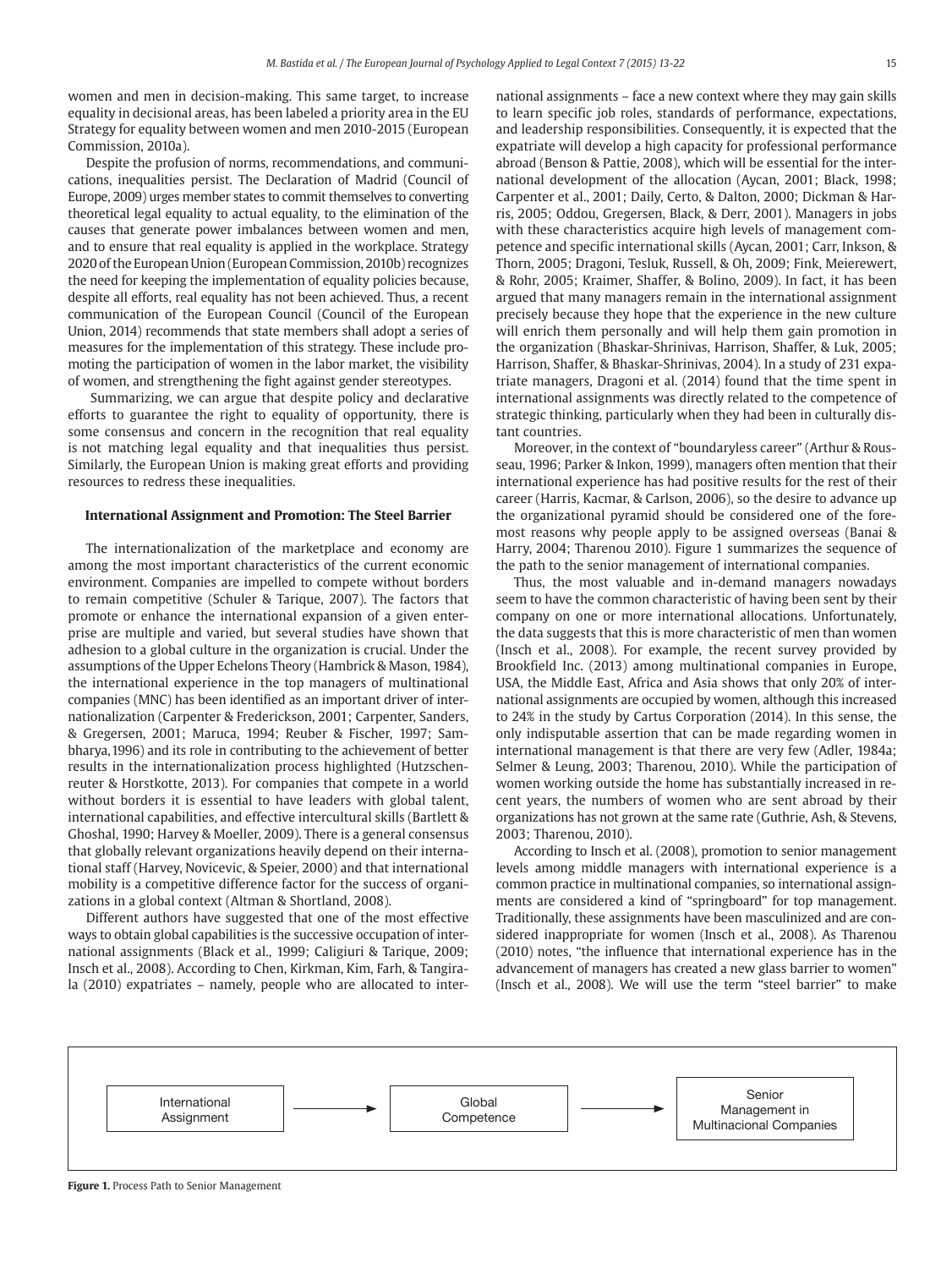women and men in decision-making. This same target, to increase equality in decisional areas, has been labeled a priority area in the EU Strategy for equality between women and men 2010-2015 (European Commission, 2010a).

Despite the profusion of norms, recommendations, and communications, inequalities persist. The Declaration of Madrid (Council of Europe, 2009) urges member states to commit themselves to converting theoretical legal equality to actual equality, to the elimination of the causes that generate power imbalances between women and men, and to ensure that real equality is applied in the workplace. Strategy 2020 of the European Union (European Commission, 2010b) recognizes the need for keeping the implementation of equality policies because, despite all efforts, real equality has not been achieved. Thus, a recent communication of the European Council (Council of the European Union, 2014) recommends that state members shall adopt a series of measures for the implementation of this strategy. These include promoting the participation of women in the labor market, the visibility of women, and strengthening the fight against gender stereotypes.

 Summarizing, we can argue that despite policy and declarative efforts to guarantee the right to equality of opportunity, there is some consensus and concern in the recognition that real equality is not matching legal equality and that inequalities thus persist. Similarly, the European Union is making great efforts and providing resources to redress these inequalities.

#### **International Assignment and Promotion: The Steel Barrier**

The internationalization of the marketplace and economy are among the most important characteristics of the current economic environment. Companies are impelled to compete without borders to remain competitive (Schuler & Tarique, 2007). The factors that promote or enhance the international expansion of a given enterprise are multiple and varied, but several studies have shown that adhesion to a global culture in the organization is crucial. Under the assumptions of the Upper Echelons Theory (Hambrick & Mason, 1984), the international experience in the top managers of multinational companies (MNC) has been identified as an important driver of internationalization (Carpenter & Frederickson, 2001; Carpenter, Sanders, & Gregersen, 2001; Maruca, 1994; Reuber & Fischer, 1997; Sambharya, 1996) and its role in contributing to the achievement of better results in the internationalization process highlighted (Hutzschenreuter & Horstkotte, 2013). For companies that compete in a world without borders it is essential to have leaders with global talent, international capabilities, and effective intercultural skills (Bartlett & Ghoshal, 1990; Harvey & Moeller, 2009). There is a general consensus that globally relevant organizations heavily depend on their international staff (Harvey, Novicevic, & Speier, 2000) and that international mobility is a competitive difference factor for the success of organizations in a global context (Altman & Shortland, 2008).

Different authors have suggested that one of the most effective ways to obtain global capabilities is the successive occupation of international assignments (Black et al., 1999; Caligiuri & Tarique, 2009; Insch et al., 2008). According to Chen, Kirkman, Kim, Farh, & Tangirala (2010) expatriates – namely, people who are allocated to international assignments – face a new context where they may gain skills to learn specific job roles, standards of performance, expectations, and leadership responsibilities. Consequently, it is expected that the expatriate will develop a high capacity for professional performance abroad (Benson & Pattie, 2008), which will be essential for the international development of the allocation (Aycan, 2001; Black, 1998; Carpenter et al., 2001; Daily, Certo, & Dalton, 2000; Dickman & Harris, 2005; Oddou, Gregersen, Black, & Derr, 2001). Managers in jobs with these characteristics acquire high levels of management competence and specific international skills (Aycan, 2001; Carr, Inkson, & Thorn, 2005; Dragoni, Tesluk, Russell, & Oh, 2009; Fink, Meierewert, & Rohr, 2005; Kraimer, Shaffer, & Bolino, 2009). In fact, it has been argued that many managers remain in the international assignment precisely because they hope that the experience in the new culture will enrich them personally and will help them gain promotion in the organization (Bhaskar-Shrinivas, Harrison, Shaffer, & Luk, 2005; Harrison, Shaffer, & Bhaskar-Shrinivas, 2004). In a study of 231 expatriate managers, Dragoni et al. (2014) found that the time spent in international assignments was directly related to the competence of strategic thinking, particularly when they had been in culturally distant countries.

Moreover, in the context of "boundaryless career" (Arthur & Rousseau, 1996; Parker & Inkon, 1999), managers often mention that their international experience has had positive results for the rest of their career (Harris, Kacmar, & Carlson, 2006), so the desire to advance up the organizational pyramid should be considered one of the foremost reasons why people apply to be assigned overseas (Banai & Harry, 2004; Tharenou 2010). Figure 1 summarizes the sequence of the path to the senior management of international companies.

Thus, the most valuable and in-demand managers nowadays seem to have the common characteristic of having been sent by their company on one or more international allocations. Unfortunately, the data suggests that this is more characteristic of men than women (Insch et al., 2008). For example, the recent survey provided by Brookfield Inc. (2013) among multinational companies in Europe, USA, the Middle East, Africa and Asia shows that only 20% of international assignments are occupied by women, although this increased to 24% in the study by Cartus Corporation (2014). In this sense, the only indisputable assertion that can be made regarding women in international management is that there are very few (Adler, 1984a; Selmer & Leung, 2003; Tharenou, 2010). While the participation of women working outside the home has substantially increased in recent years, the numbers of women who are sent abroad by their organizations has not grown at the same rate (Guthrie, Ash, & Stevens, 2003; Tharenou, 2010).

According to Insch et al. (2008), promotion to senior management levels among middle managers with international experience is a common practice in multinational companies, so international assignments are considered a kind of "springboard" for top management. Traditionally, these assignments have been masculinized and are considered inappropriate for women (Insch et al., 2008). As Tharenou (2010) notes, "the influence that international experience has in the advancement of managers has created a new glass barrier to women" (Insch et al., 2008). We will use the term "steel barrier" to make



**Figure 1.** Process Path to Senior Management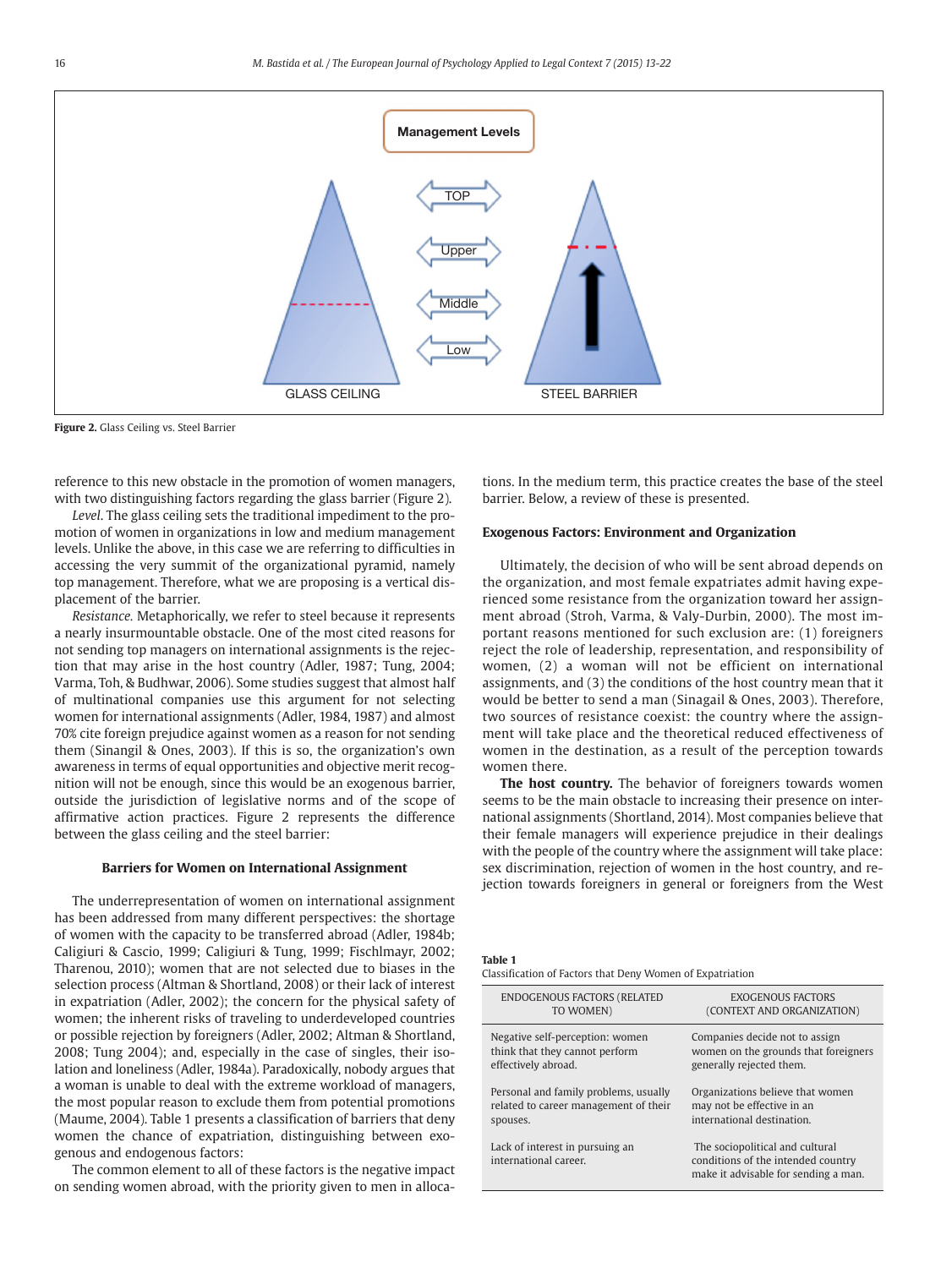

**Figure 2.** Glass Ceiling vs. Steel Barrier

 reference to this new obstacle in the promotion of women managers, with two distinguishing factors regarding the glass barrier (Figure 2).

*Level*. The glass ceiling sets the traditional impediment to the promotion of women in organizations in low and medium management levels. Unlike the above, in this case we are referring to difficulties in accessing the very summit of the organizational pyramid, namely top management. Therefore, what we are proposing is a vertical displacement of the barrier.

*Resistance.* Metaphorically, we refer to steel because it represents a nearly insurmountable obstacle. One of the most cited reasons for not sending top managers on international assignments is the rejection that may arise in the host country (Adler, 1987; Tung, 2004; Varma, Toh, & Budhwar, 2006). Some studies suggest that almost half of multinational companies use this argument for not selecting women for international assignments (Adler, 1984, 1987) and almost 70% cite foreign prejudice against women as a reason for not sending them (Sinangil & Ones, 2003). If this is so, the organization's own awareness in terms of equal opportunities and objective merit recognition will not be enough, since this would be an exogenous barrier, outside the jurisdiction of legislative norms and of the scope of affirmative action practices. Figure 2 represents the difference between the glass ceiling and the steel barrier:

#### **Barriers for Women on International Assignment**

The underrepresentation of women on international assignment has been addressed from many different perspectives: the shortage of women with the capacity to be transferred abroad (Adler, 1984b; Caligiuri & Cascio, 1999; Caligiuri & Tung, 1999; Fischlmayr, 2002; Tharenou, 2010); women that are not selected due to biases in the selection process (Altman & Shortland, 2008) or their lack of interest in expatriation (Adler, 2002); the concern for the physical safety of women; the inherent risks of traveling to underdeveloped countries or possible rejection by foreigners (Adler, 2002; Altman & Shortland, 2008; Tung 2004); and, especially in the case of singles, their isolation and loneliness (Adler, 1984a). Paradoxically, nobody argues that a woman is unable to deal with the extreme workload of managers, the most popular reason to exclude them from potential promotions (Maume, 2004). Table 1 presents a classification of barriers that deny women the chance of expatriation, distinguishing between exogenous and endogenous factors:

The common element to all of these factors is the negative impact on sending women abroad, with the priority given to men in allocations. In the medium term, this practice creates the base of the steel barrier. Below, a review of these is presented.

#### **Exogenous Factors: Environment and Organization**

Ultimately, the decision of who will be sent abroad depends on the organization, and most female expatriates admit having experienced some resistance from the organization toward her assignment abroad (Stroh, Varma, & Valy-Durbin, 2000). The most important reasons mentioned for such exclusion are: (1) foreigners reject the role of leadership, representation, and responsibility of women, (2) a woman will not be efficient on international assignments, and (3) the conditions of the host country mean that it would be better to send a man (Sinagail & Ones, 2003). Therefore, two sources of resistance coexist: the country where the assignment will take place and the theoretical reduced effectiveness of women in the destination, as a result of the perception towards women there.

**The host country.** The behavior of foreigners towards women seems to be the main obstacle to increasing their presence on international assignments (Shortland, 2014). Most companies believe that their female managers will experience prejudice in their dealings with the people of the country where the assignment will take place: sex discrimination, rejection of women in the host country, and rejection towards foreigners in general or foreigners from the West

**Table 1**

Classification of Factors that Deny Women of Expatriation

| <b>ENDOGENOUS FACTORS (RELATED</b>                       | <b>EXOGENOUS FACTORS</b>                                                                                      |
|----------------------------------------------------------|---------------------------------------------------------------------------------------------------------------|
| TO WOMEN)                                                | (CONTEXT AND ORGANIZATION)                                                                                    |
| Negative self-perception: women                          | Companies decide not to assign                                                                                |
| think that they cannot perform                           | women on the grounds that foreigners                                                                          |
| effectively abroad.                                      | generally rejected them.                                                                                      |
| Personal and family problems, usually                    | Organizations believe that women                                                                              |
| related to career management of their                    | may not be effective in an                                                                                    |
| spouses.                                                 | international destination.                                                                                    |
| Lack of interest in pursuing an<br>international career. | The sociopolitical and cultural<br>conditions of the intended country<br>make it advisable for sending a man. |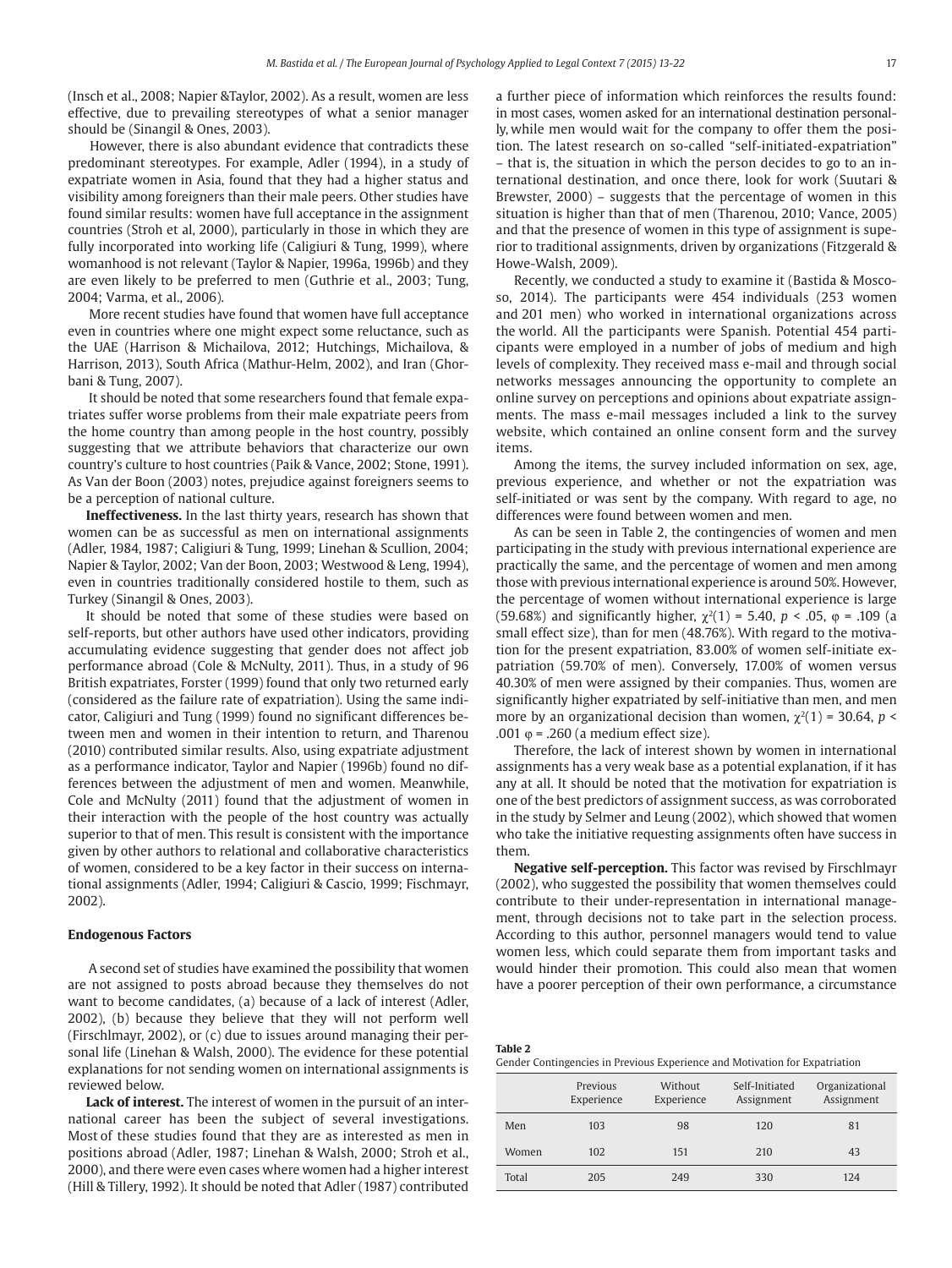(Insch et al., 2008; Napier &Taylor, 2002). As a result, women are less effective, due to prevailing stereotypes of what a senior manager should be (Sinangil & Ones, 2003).

 However, there is also abundant evidence that contradicts these predominant stereotypes. For example, Adler (1994), in a study of expatriate women in Asia, found that they had a higher status and visibility among foreigners than their male peers. Other studies have found similar results: women have full acceptance in the assignment countries (Stroh et al, 2000), particularly in those in which they are fully incorporated into working life (Caligiuri & Tung, 1999), where womanhood is not relevant (Taylor & Napier, 1996a, 1996b) and they are even likely to be preferred to men (Guthrie et al., 2003; Tung, 2004; Varma, et al., 2006).

 More recent studies have found that women have full acceptance even in countries where one might expect some reluctance, such as the UAE (Harrison & Michailova, 2012; Hutchings, Michailova, & Harrison, 2013), South Africa (Mathur-Helm, 2002), and Iran (Ghorbani & Tung, 2007).

 It should be noted that some researchers found that female expatriates suffer worse problems from their male expatriate peers from the home country than among people in the host country, possibly suggesting that we attribute behaviors that characterize our own country's culture to host countries (Paik & Vance, 2002; Stone, 1991). As Van der Boon (2003) notes, prejudice against foreigners seems to be a perception of national culture.

**Ineffectiveness.** In the last thirty years, research has shown that women can be as successful as men on international assignments (Adler, 1984, 1987; Caligiuri & Tung, 1999; Linehan & Scullion, 2004; Napier & Taylor, 2002; Van der Boon, 2003; Westwood & Leng, 1994), even in countries traditionally considered hostile to them, such as Turkey (Sinangil & Ones, 2003).

It should be noted that some of these studies were based on self-reports, but other authors have used other indicators, providing accumulating evidence suggesting that gender does not affect job performance abroad (Cole & McNulty, 2011). Thus, in a study of 96 British expatriates, Forster (1999) found that only two returned early (considered as the failure rate of expatriation). Using the same indicator, Caligiuri and Tung (1999) found no significant differences between men and women in their intention to return, and Tharenou (2010) contributed similar results. Also, using expatriate adjustment as a performance indicator, Taylor and Napier (1996b) found no differences between the adjustment of men and women. Meanwhile, Cole and McNulty (2011) found that the adjustment of women in their interaction with the people of the host country was actually superior to that of men. This result is consistent with the importance given by other authors to relational and collaborative characteristics of women, considered to be a key factor in their success on international assignments (Adler, 1994; Caligiuri & Cascio, 1999; Fischmayr, 2002).

#### **Endogenous Factors**

 A second set of studies have examined the possibility that women are not assigned to posts abroad because they themselves do not want to become candidates, (a) because of a lack of interest (Adler, 2002), (b) because they believe that they will not perform well (Firschlmayr, 2002), or (c) due to issues around managing their personal life (Linehan & Walsh, 2000). The evidence for these potential explanations for not sending women on international assignments is reviewed below.

**Lack of interest.** The interest of women in the pursuit of an international career has been the subject of several investigations. Most of these studies found that they are as interested as men in positions abroad (Adler, 1987; Linehan & Walsh, 2000; Stroh et al., 2000), and there were even cases where women had a higher interest (Hill & Tillery, 1992). It should be noted that Adler (1987) contributed

a further piece of information which reinforces the results found: in most cases, women asked for an international destination personally, while men would wait for the company to offer them the position. The latest research on so-called "self-initiated-expatriation" – that is, the situation in which the person decides to go to an international destination, and once there, look for work (Suutari & Brewster, 2000) – suggests that the percentage of women in this situation is higher than that of men (Tharenou, 2010; Vance, 2005) and that the presence of women in this type of assignment is superior to traditional assignments, driven by organizations ( Fitzgerald & Howe-Walsh, 2009).

Recently, we conducted a study to examine it (Bastida & Moscoso, 2014). The participants were 454 individuals (253 women and 201 men) who worked in international organizations across the world. All the participants were Spanish. Potential 454 participants were employed in a number of jobs of medium and high levels of complexity. They received mass e-mail and through social networks messages announcing the opportunity to complete an online survey on perceptions and opinions about expatriate assignments. The mass e-mail messages included a link to the survey website, which contained an online consent form and the survey items.

Among the items, the survey included information on sex, age, previous experience, and whether or not the expatriation was self-initiated or was sent by the company. With regard to age, no differences were found between women and men.

As can be seen in Table 2, the contingencies of women and men participating in the study with previous international experience are practically the same, and the percentage of women and men among those with previous international experience is around 50%. However, the percentage of women without international experience is large (59.68%) and significantly higher,  $\chi^2(1) = 5.40$ ,  $p < .05$ ,  $\varphi = .109$  (a small effect size), than for men (48.76%). With regard to the motivation for the present expatriation, 83.00% of women self-initiate expatriation (59.70% of men). Conversely, 17.00% of women versus 40.30% of men were assigned by their companies. Thus, women are significantly higher expatriated by self-initiative than men, and men more by an organizational decision than women,  $\chi^2(1)$  = 30.64, *p* < .001  $\varphi$  = .260 (a medium effect size).

Therefore, the lack of interest shown by women in international assignments has a very weak base as a potential explanation, if it has any at all. It should be noted that the motivation for expatriation is one of the best predictors of assignment success, as was corroborated in the study by Selmer and Leung (2002), which showed that women who take the initiative requesting assignments often have success in them.

**Negative self-perception.** This factor was revised by Firschlmayr (2002), who suggested the possibility that women themselves could contribute to their under-representation in international management, through decisions not to take part in the selection process. According to this author, personnel managers would tend to value women less, which could separate them from important tasks and would hinder their promotion. This could also mean that women have a poorer perception of their own performance, a circumstance

| Table 2                                                                     |  |
|-----------------------------------------------------------------------------|--|
| Gender Contingencies in Previous Experience and Motivation for Expatriation |  |

|       | Previous<br>Experience | Without<br>Experience | Self-Initiated<br>Assignment | Organizational<br>Assignment |
|-------|------------------------|-----------------------|------------------------------|------------------------------|
| Men   | 103                    | 98                    | 120                          | 81                           |
| Women | 102                    | 151                   | 210                          | 43                           |
| Total | 205                    | 249                   | 330                          | 124                          |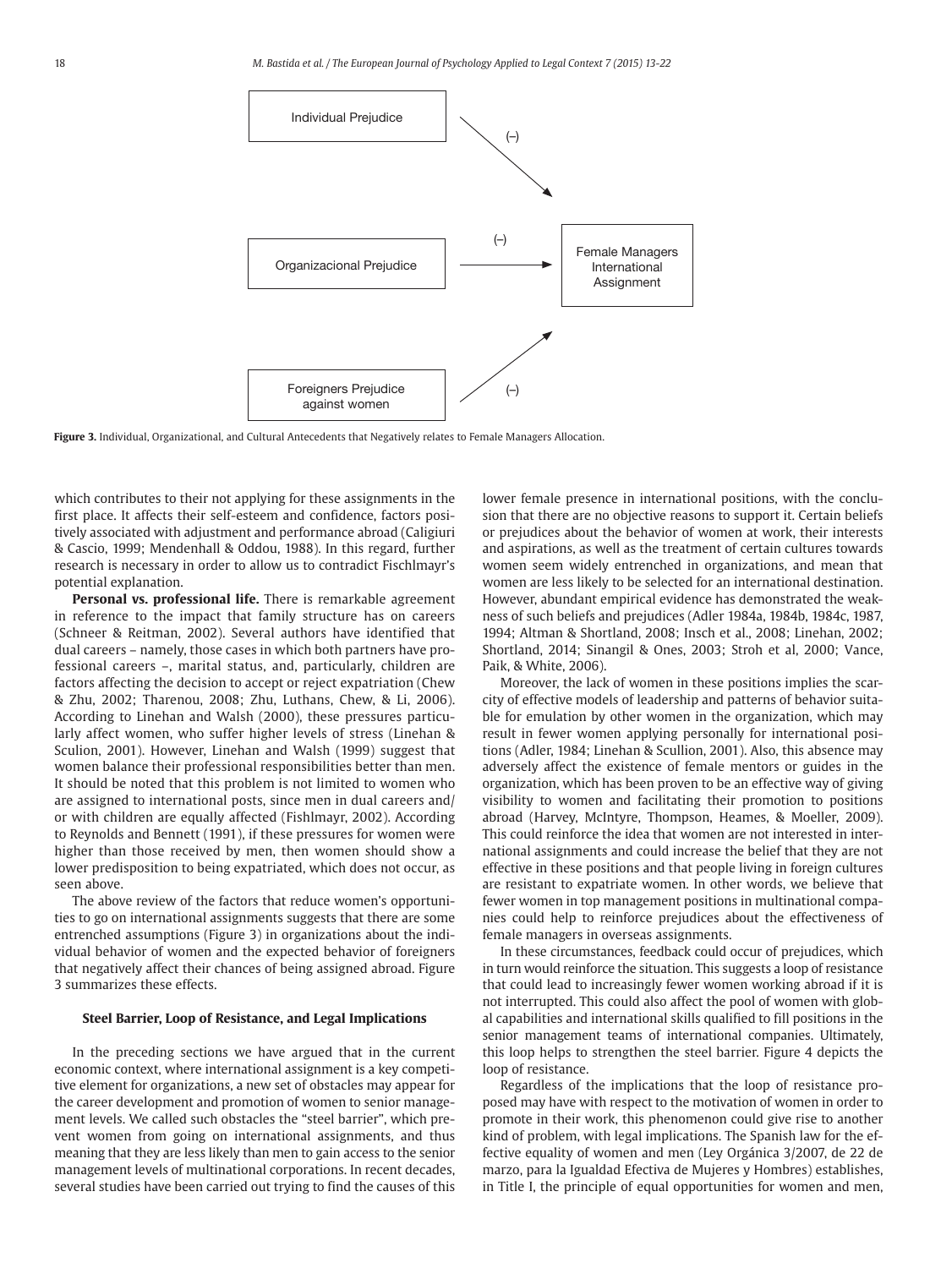

**Figure 3.** Individual, Organizational, and Cultural Antecedents that Negatively relates to Female Managers Allocation.

which contributes to their not applying for these assignments in the first place. It affects their self-esteem and confidence, factors positively associated with adjustment and performance abroad (Caligiuri & Cascio, 1999; Mendenhall & Oddou, 1988). In this regard, further research is necessary in order to allow us to contradict Fischlmayr's potential explanation.

**Personal vs. professional life.** There is remarkable agreement in reference to the impact that family structure has on careers ( Schneer & Reitman, 2002). Several authors have identified that dual careers – namely, those cases in which both partners have professional careers –, marital status, and, particularly, children are factors affecting the decision to accept or reject expatriation (Chew & Zhu, 2002; Tharenou, 2008; Zhu, Luthans, Chew, & Li, 2006). According to Linehan and Walsh (2000), these pressures particularly affect women, who suffer higher levels of stress (Linehan & Sculion, 2001). However, Linehan and Walsh (1999) suggest that women balance their professional responsibilities better than men. It should be noted that this problem is not limited to women who are assigned to international posts, since men in dual careers and/ or with children are equally affected (Fishlmayr, 2002). According to Reynolds and Bennett (1991), if these pressures for women were higher than those received by men, then women should show a lower predisposition to being expatriated, which does not occur, as seen above.

The above review of the factors that reduce women's opportunities to go on international assignments suggests that there are some entrenched assumptions (Figure 3) in organizations about the individual behavior of women and the expected behavior of foreigners that negatively affect their chances of being assigned abroad. Figure 3 summarizes these effects.

#### **Steel Barrier, Loop of Resistance, and Legal Implications**

In the preceding sections we have argued that in the current economic context, where international assignment is a key competitive element for organizations, a new set of obstacles may appear for the career development and promotion of women to senior management levels. We called such obstacles the "steel barrier", which prevent women from going on international assignments, and thus meaning that they are less likely than men to gain access to the senior management levels of multinational corporations. In recent decades, several studies have been carried out trying to find the causes of this lower female presence in international positions, with the conclusion that there are no objective reasons to support it. Certain beliefs or prejudices about the behavior of women at work, their interests and aspirations, as well as the treatment of certain cultures towards women seem widely entrenched in organizations, and mean that women are less likely to be selected for an international destination. However, abundant empirical evidence has demonstrated the weakness of such beliefs and prejudices (Adler 1984a, 1984b, 1984c, 1987, 1994; Altman & Shortland, 2008; Insch et al., 2008; Linehan, 2002; Shortland, 2014; Sinangil & Ones, 2003; Stroh et al, 2000; Vance, Paik, & White, 2006).

Moreover, the lack of women in these positions implies the scarcity of effective models of leadership and patterns of behavior suitable for emulation by other women in the organization, which may result in fewer women applying personally for international positions (Adler, 1984; Linehan & Scullion, 2001). Also, this absence may adversely affect the existence of female mentors or guides in the organization, which has been proven to be an effective way of giving visibility to women and facilitating their promotion to positions abroad (Harvey, McIntyre, Thompson, Heames, & Moeller, 2009). This could reinforce the idea that women are not interested in international assignments and could increase the belief that they are not effective in these positions and that people living in foreign cultures are resistant to expatriate women. In other words, we believe that fewer women in top management positions in multinational companies could help to reinforce prejudices about the effectiveness of female managers in overseas assignments.

In these circumstances, feedback could occur of prejudices, which in turn would reinforce the situation. This suggests a loop of resistance that could lead to increasingly fewer women working abroad if it is not interrupted. This could also affect the pool of women with global capabilities and international skills qualified to fill positions in the senior management teams of international companies. Ultimately, this loop helps to strengthen the steel barrier. Figure 4 depicts the loop of resistance.

Regardless of the implications that the loop of resistance proposed may have with respect to the motivation of women in order to promote in their work, this phenomenon could give rise to another kind of problem, with legal implications. The Spanish law for the effective equality of women and men (Ley Orgánica 3/2007, de 22 de marzo, para la Igualdad Efectiva de Mujeres y Hombres) establishes, in Title I, the principle of equal opportunities for women and men,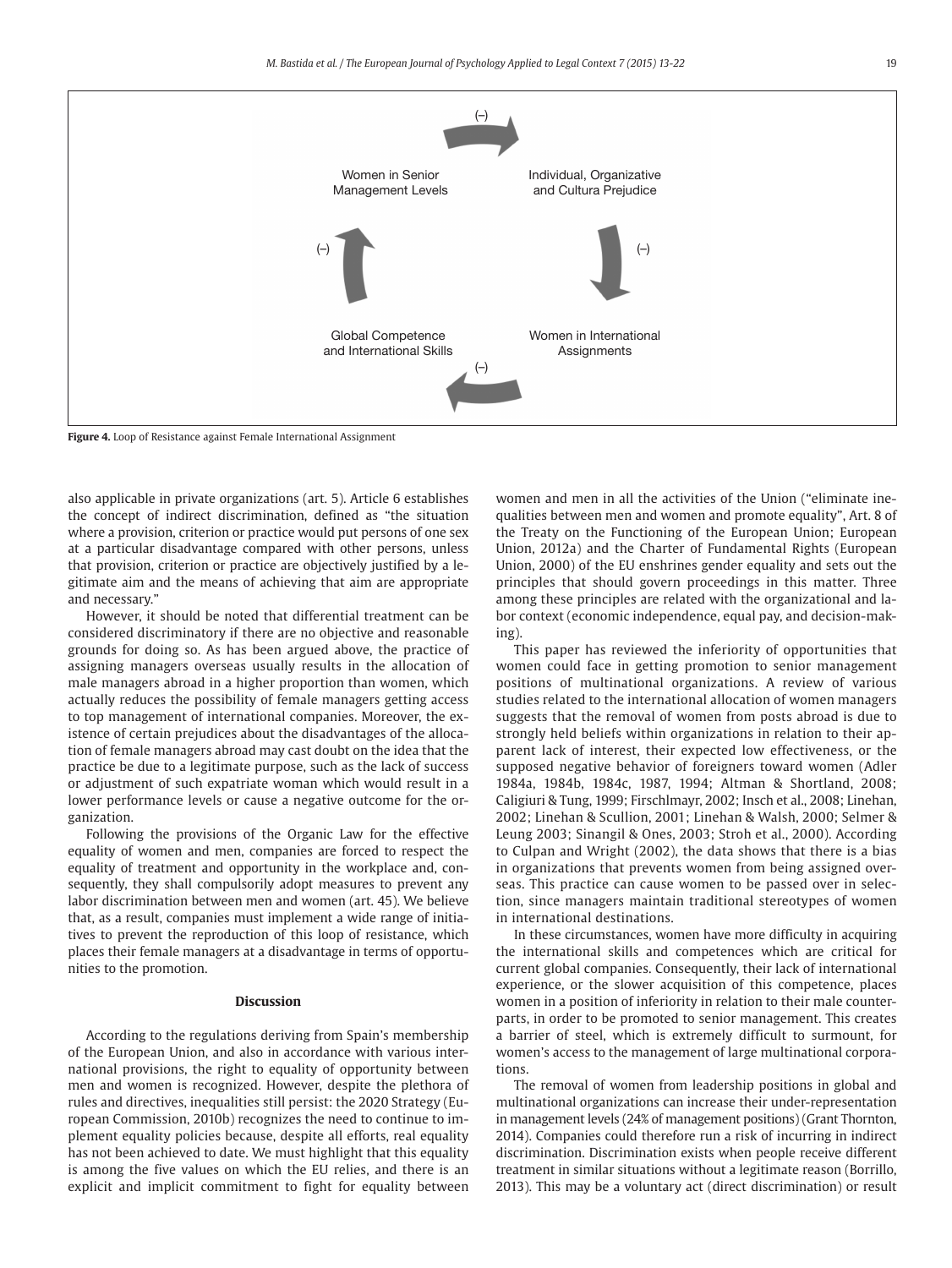

**Figure 4.** Loop of Resistance against Female International Assignment

also applicable in private organizations (art. 5). Article 6 establishes the concept of indirect discrimination, defined as "the situation where a provision, criterion or practice would put persons of one sex at a particular disadvantage compared with other persons, unless that provision, criterion or practice are objectively justified by a legitimate aim and the means of achieving that aim are appropriate and necessary."

However, it should be noted that differential treatment can be considered discriminatory if there are no objective and reasonable grounds for doing so. As has been argued above, the practice of assigning managers overseas usually results in the allocation of male managers abroad in a higher proportion than women, which actually reduces the possibility of female managers getting access to top management of international companies. Moreover, the existence of certain prejudices about the disadvantages of the allocation of female managers abroad may cast doubt on the idea that the practice be due to a legitimate purpose, such as the lack of success or adjustment of such expatriate woman which would result in a lower performance levels or cause a negative outcome for the organization.

Following the provisions of the Organic Law for the effective equality of women and men, companies are forced to respect the equality of treatment and opportunity in the workplace and, consequently, they shall compulsorily adopt measures to prevent any labor discrimination between men and women (art. 45). We believe that, as a result, companies must implement a wide range of initiatives to prevent the reproduction of this loop of resistance, which places their female managers at a disadvantage in terms of opportunities to the promotion.

#### **Discussion**

According to the regulations deriving from Spain's membership of the European Union, and also in accordance with various international provisions, the right to equality of opportunity between men and women is recognized. However, despite the plethora of rules and directives, inequalities still persist: the 2020 Strategy (European Commission, 2010b) recognizes the need to continue to implement equality policies because, despite all efforts, real equality has not been achieved to date. We must highlight that this equality is among the five values on which the EU relies, and there is an explicit and implicit commitment to fight for equality between women and men in all the activities of the Union ("eliminate inequalities between men and women and promote equality", Art. 8 of the Treaty on the Functioning of the European Union; European Union, 2012a) and the Charter of Fundamental Rights (European Union, 2000) of the EU enshrines gender equality and sets out the principles that should govern proceedings in this matter. Three among these principles are related with the organizational and labor context (economic independence, equal pay, and decision-making).

This paper has reviewed the inferiority of opportunities that women could face in getting promotion to senior management positions of multinational organizations. A review of various studies related to the international allocation of women managers suggests that the removal of women from posts abroad is due to strongly held beliefs within organizations in relation to their apparent lack of interest, their expected low effectiveness, or the supposed negative behavior of foreigners toward women (Adler 1984a, 1984b, 1984c, 1987, 1994; Altman & Shortland, 2008; Caligiuri & Tung, 1999; Firschlmayr, 2002; Insch et al., 2008; Linehan, 2002; Linehan & Scullion, 2001; Linehan & Walsh, 2000; Selmer & Leung 2003; Sinangil & Ones, 2003; Stroh et al., 2000). According to Culpan and Wright (2002), the data shows that there is a bias in organizations that prevents women from being assigned overseas. This practice can cause women to be passed over in selection, since managers maintain traditional stereotypes of women in international destinations.

In these circumstances, women have more difficulty in acquiring the international skills and competences which are critical for current global companies. Consequently, their lack of international experience, or the slower acquisition of this competence, places women in a position of inferiority in relation to their male counterparts, in order to be promoted to senior management. This creates a barrier of steel, which is extremely difficult to surmount, for women's access to the management of large multinational corporations.

The removal of women from leadership positions in global and multinational organizations can increase their under-representation in management levels (24% of management positions) (Grant Thornton, 2014). Companies could therefore run a risk of incurring in indirect discrimination. Discrimination exists when people receive different treatment in similar situations without a legitimate reason (Borrillo, 2013). This may be a voluntary act (direct discrimination) or result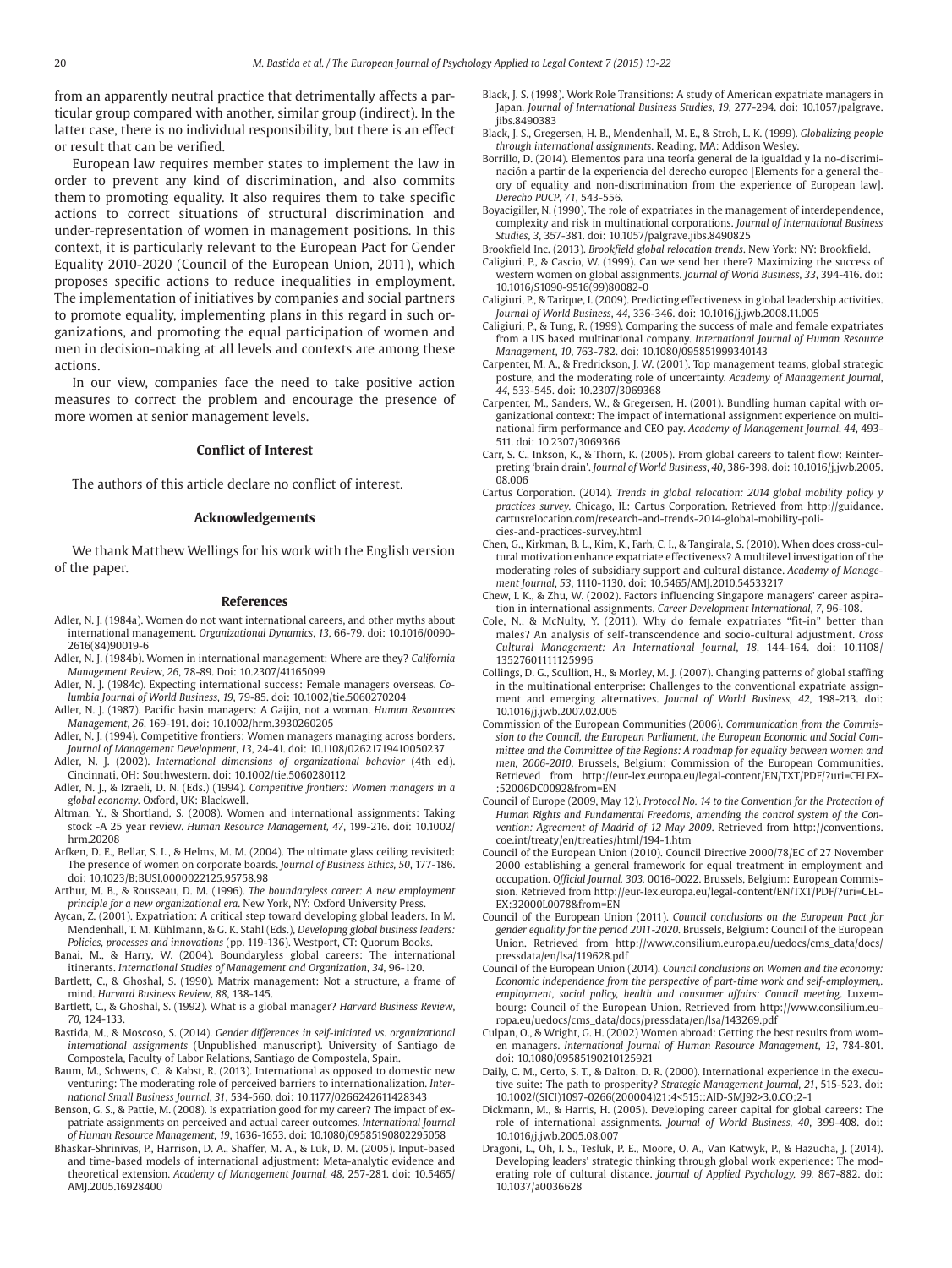from an apparently neutral practice that detrimentally affects a particular group compared with another, similar group (indirect). In the latter case, there is no individual responsibility, but there is an effect or result that can be verified.

European law requires member states to implement the law in order to prevent any kind of discrimination, and also commits them to promoting equality. It also requires them to take specific actions to correct situations of structural discrimination and under-representation of women in management positions. In this context, it is particularly relevant to the European Pact for Gender Equality 2010-2020 (Council of the European Union, 2011), which proposes specific actions to reduce inequalities in employment. The implementation of initiatives by companies and social partners to promote equality, implementing plans in this regard in such organizations, and promoting the equal participation of women and men in decision-making at all levels and contexts are among these actions.

In our view, companies face the need to take positive action measures to correct the problem and encourage the presence of more women at senior management levels.

## **Conflict of Interest**

The authors of this article declare no conflict of interest.

#### **Acknowledgements**

We thank Matthew Wellings for his work with the English version of the paper.

#### **References**

- Adler, N. J. (1984a). Women do not want international careers, and other myths about international management. *Organizational Dynamics*, *13*, 66-79. doi: 10.1016/0090- 2616(84)90019-6
- Adler, N. J. (1984b). Women in international management: Where are they? *California Management Revie*w, *26*, 78-89. Doi: 10.2307/41165099
- Adler, N. J. (1984c). Expecting international success: Female managers overseas. *Columbia Journal of World Business*, *19*, 79-85. doi: 10.1002/tie.5060270204
- Adler, N. J. (1987). Pacific basin managers: A Gaijin, not a woman. *Human Resources Management*, *26*, 169-191. doi: 10.1002/hrm.3930260205
- Adler, N. J. (1994). Competitive frontiers: Women managers managing across borders. *Journal of Management Development*, *13*, 24-41. doi: 10.1108/02621719410050237
- Adler, N. J. (2002). *International dimensions of organizational behavior* (4th ed). Cincinnati, OH: Southwestern. doi: 10.1002/tie.5060280112
- Adler, N. J., & Izraeli, D. N. (Eds.) (1994). *Competitive frontiers: Women managers in a global economy.* Oxford, UK: Blackwell.
- Altman, Y., & Shortland, S. (2008). Women and international assignments: Taking stock -A 25 year review. *Human Resource Management, 47*, 199-216. doi: 10.1002/ hrm.20208
- Arfken, D. E., Bellar, S. L., & Helms, M. M. (2004). The ultimate glass ceiling revisited: The presence of women on corporate boards. *Journal of Business Ethics, 50*, 177-186. doi: 10.1023/B:BUSI.0000022125.95758.98
- Arthur, M. B., & Rousseau, D. M. (1996). *The boundaryless career: A new employment principle for a new organizational era*. New York, NY: Oxford University Press.
- Aycan, Z. (2001). Expatriation: A critical step toward developing global leaders. In M. Mendenhall, T. M. Kühlmann, & G. K. Stahl (Eds.), *Developing global business leaders: Policies, processes and innovations* (pp. 119-136). Westport, CT: Quorum Books.
- Banai, M., & Harry, W. (2004). Boundaryless global careers: The international itinerants. *International Studies of Management and Organization*, *34*, 96-120.
- Bartlett, C., & Ghoshal, S. (1990). Matrix management: Not a structure, a frame of mind. *Harvard Business Review*, *88*, 138-145.
- Bartlett, C., & Ghoshal, S. (1992). What is a global manager? *Harvard Business Review*, *70*, 124-133.
- Bastida, M., & Moscoso, S. (2014). *Gender differences in self-initiated vs. organizational international assignments* (Unpublished manuscript). University of Santiago de Compostela, Faculty of Labor Relations, Santiago de Compostela, Spain.
- Baum, M., Schwens, C., & Kabst, R. (2013). International as opposed to domestic new venturing: The moderating role of perceived barriers to internationalization. *International Small Business Journal*, *31*, 534-560. doi: 10.1177/0266242611428343
- Benson, G. S., & Pattie, M. (2008). Is expatriation good for my career? The impact of expatriate assignments on perceived and actual career outcomes. *International Journal of Human Resource Management, 19*, 1636-1653. doi: 10.1080/09585190802295058
- Bhaskar-Shrinivas, P., Harrison, D. A., Shaffer, M. A., & Luk, D. M. (2005). Input-based and time-based models of international adjustment: Meta-analytic evidence and theoretical extension. *Academy of Management Journal, 48*, 257-281. doi: 10.5465/ AMJ.2005.16928400
- Black, J. S. (1998). Work Role Transitions: A study of American expatriate managers in Japan. *Journal of International Business Studies*, *19*, 277-294. doi: 10.1057/palgrave. iibs.8490383
- Black, J. S., Gregersen, H. B., Mendenhall, M. E., & Stroh, L. K. (1999). *Globalizing people through international assignments*. Reading, MA: Addison Wesley.
- Borrillo, D. (2014). Elementos para una teoría general de la igualdad y la no-discriminación a partir de la experiencia del derecho europeo [Elements for a general theory of equality and non-discrimination from the experience of European law]. *Derecho PUCP*, *71*, 543-556.
- Boyacigiller, N. (1990). The role of expatriates in the management of interdependence, complexity and risk in multinational corporations. *Journal of International Business Studies*, *3*, 357-381. doi: 10.1057/palgrave.jibs.8490825
- Brookfield Inc. (2013). *Brookfield global relocation trends*. New York: NY: Brookfield.
- Caligiuri, P., & Cascio, W. (1999). Can we send her there? Maximizing the success of western women on global assignments. *Journal of World Business*, *33*, 394-416. doi: 10.1016/S1090-9516(99)80082-0
- Caligiuri, P., & Tarique, I. (2009). Predicting effectiveness in global leadership activities. *Journal of World Business*, *44*, 336-346. doi: 10.1016/j.jwb.2008.11.005
- Caligiuri, P., & Tung, R. (1999). Comparing the success of male and female expatriates from a US based multinational company. *International Journal of Human Resource Management*, *10*, 763-782. doi: 10.1080/095851999340143
- Carpenter, M. A., & Fredrickson, J. W. (2001). Top management teams, global strategic posture, and the moderating role of uncertainty. *Academy of Management Journal*, *44*, 533-545. doi: 10.2307/3069368
- Carpenter, M., Sanders, W., & Gregersen, H. (2001). Bundling human capital with organizational context: The impact of international assignment experience on multinational firm performance and CEO pay. *Academy of Management Journal*, *44*, 493- 511. doi: 10.2307/3069366
- Carr, S. C., Inkson, K., & Thorn, K. (2005). From global careers to talent flow: Reinterpreting 'brain drain'. *Journal of World Business*, *40*, 386-398. doi: 10.1016/j.jwb.2005. 08.006
- Cartus Corporation. (2014). *Trends in global relocation: 2014 global mobility policy y practices survey.* Chicago, IL: Cartus Corporation. Retrieved from http://guidance. cartusrelocation.com/research-and-trends-2014-global-mobility-policies-and-practices-survey.html
- Chen, G., Kirkman, B. L., Kim, K., Farh, C. I., & Tangirala, S. (2010). When does cross-cultural motivation enhance expatriate effectiveness? A multilevel investigation of the moderating roles of subsidiary support and cultural distance. *Academy of Management Journal*, *53*, 1110-1130. doi: 10.5465/AMJ.2010.54533217
- Chew, I. K., & Zhu, W. (2002). Factors influencing Singapore managers' career aspiration in international assignments. *Career Development International*, *7*, 96-108.
- Cole, N., & McNulty, Y. (2011). Why do female expatriates "fit-in" better than males? An analysis of self-transcendence and socio-cultural adjustment. *Cross Cultural Management: An International Journal*, *18*, 144-164. doi: 10.1108/ 13527601111125996
- Collings, D. G., Scullion, H., & Morley, M. J. (2007). Changing patterns of global staffing in the multinational enterprise: Challenges to the conventional expatriate assignment and emerging alternatives. *Journal of World Business, 42*, 198-213. doi: 10.1016/j.jwb.2007.02.005
- Commission of the European Communities (2006). *Communication from the Commission to the Council, the European Parliament, the European Economic and Social Committee and the Committee of the Regions: A roadmap for equality between women and men, 2006-2010*. Brussels, Belgium: Commission of the European Communities. Retrieved from http://eur-lex.europa.eu/legal-content/EN/TXT/PDF/?uri=CELEX- :52006DC0092&from=EN
- Council of Europe (2009, May 12). *Protocol No. 14 to the Convention for the Protection of Human Rights and Fundamental Freedoms, amending the control system of the Convention: Agreement of Madrid of 12 May 2009*. Retrieved from http://conventions. coe.int/treaty/en/treaties/html/194-1.htm
- Council of the European Union (2010). Council Directive 2000/78/EC of 27 November 2000 establishing a general framework for equal treatment in employment and occupation. *Official Journal, 303,* 0016-0022. Brussels, Belgium: European Commission. Retrieved from http://eur-lex.europa.eu/legal-content/EN/TXT/PDF/?uri=CEL-EX:32000L0078&from=EN
- Council of the European Union (2011). *Council conclusions on the European Pact for gender equality for the period 2011-2020*. Brussels, Belgium: Council of the European Union. Retrieved from http://www.consilium.europa.eu/uedocs/cms\_data/docs/ pressdata/en/lsa/119628.pdf
- Council of the European Union (2014). *Council conclusions on Women and the economy: Economic independence from the perspective of part-time work and self-employmen,. employment, social policy, health and consumer affairs: Council meeting*. Luxembourg: Council of the European Union. Retrieved from http://www.consilium.europa.eu/uedocs/cms\_data/docs/pressdata/en/lsa/143269.pdf
- Culpan, O., & Wright, G. H. (2002) Women abroad: Getting the best results from women managers. *International Journal of Human Resource Management*, *13*, 784-801. doi: 10.1080/09585190210125921
- Daily, C. M., Certo, S. T., & Dalton, D. R. (2000). International experience in the executive suite: The path to prosperity? *Strategic Management Journal, 21*, 515-523. doi: 10.1002/(SICI)1097-0266(200004)21:4<515::AID-SMJ92>3.0.CO;2-1
- Dickmann, M., & Harris, H. (2005). Developing career capital for global careers: The role of international assignments. *Journal of World Business, 40*, 399-408. doi: 10.1016/j.jwb.2005.08.007
- Dragoni, L., Oh, I. S., Tesluk, P. E., Moore, O. A., Van Katwyk, P., & Hazucha, J. (2014). Developing leaders' strategic thinking through global work experience: The moderating role of cultural distance. *Journal of Applied Psychology, 99,* 867-882. doi: 10.1037/a0036628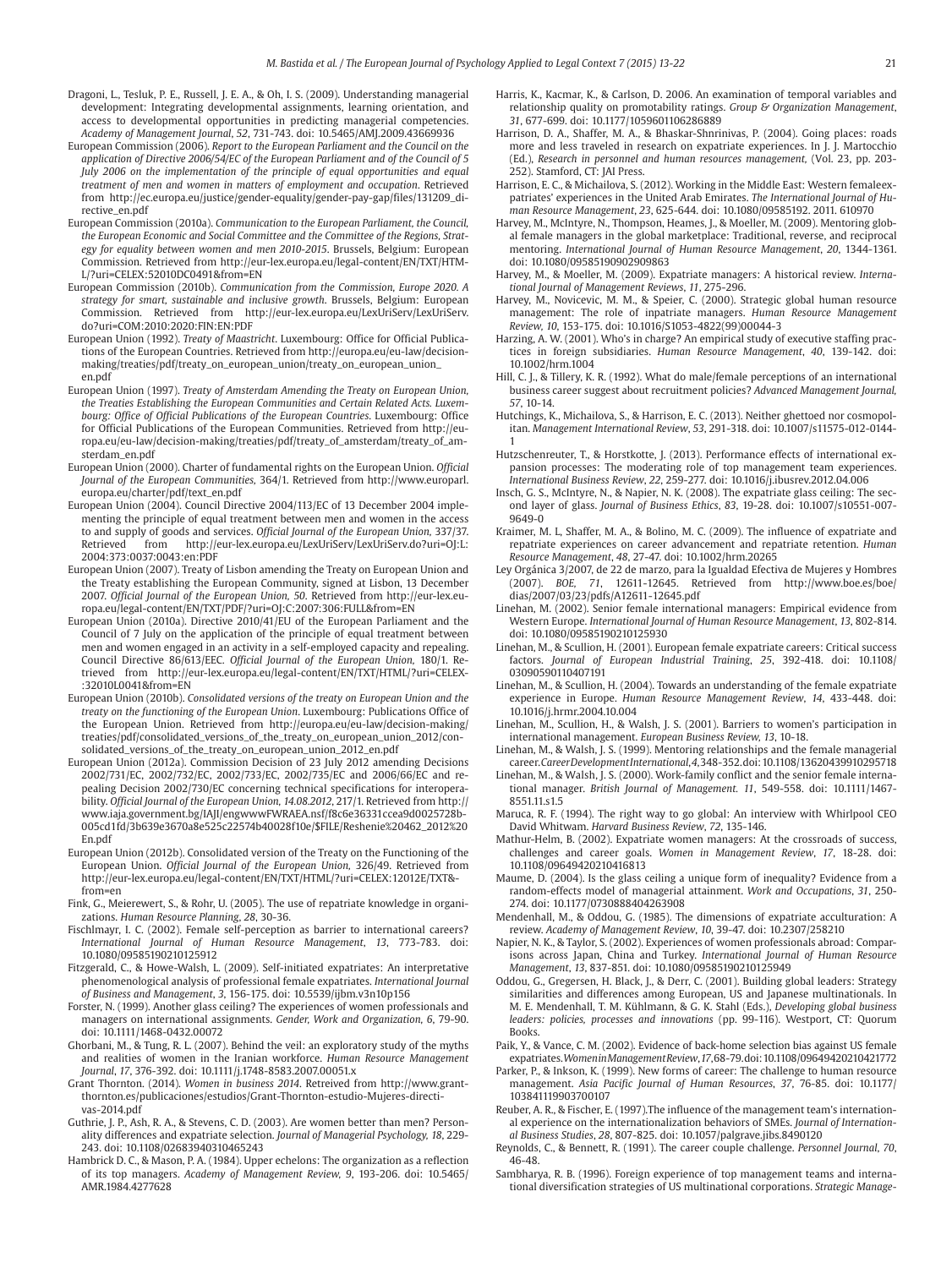- Dragoni, L., Tesluk, P. E., Russell, J. E. A., & Oh, I. S. (2009). Understanding managerial development: Integrating developmental assignments, learning orientation, and access to developmental opportunities in predicting managerial competencies. *Academy of Management Journal*, *52*, 731-743. doi: 10.5465/AMJ.2009.43669936
- European Commission (2006). *Report to the European Parliament and the Council on the application of Directive 2006/54/EC of the European Parliament and of the Council of 5 July 2006 on the implementation of the principle of equal opportunities and equal treatment of men and women in matters of employment and occupation*. Retrieved from http://ec.europa.eu/justice/gender-equality/gender-pay-gap/files/131209\_directive\_en.pdf
- European Commission (2010a). *Communication to the European Parliament, the Council, the European Economic and Social Committee and the Committee of the Regions, Strategy for equality between women and men 2010-2015*. Brussels, Belgium: European Commission. Retrieved from http://eur-lex.europa.eu/legal-content/EN/TXT/HTM-L/?uri=CELEX:52010DC0491&from=EN
- European Commission (2010b). *Communication from the Commission, Europe 2020. A strategy for smart, sustainable and inclusive growth*. Brussels, Belgium: European Commission. Retrieved from http://eur-lex.europa.eu/LexUriServ/LexUriServ. do?uri=COM:2010:2020:FIN:EN:PDF
- European Union (1992). *Treaty of Maastricht*. Luxembourg: Office for Official Publications of the European Countries. Retrieved from http://europa.eu/eu-law/decisionmaking/treaties/pdf/treaty\_on\_european\_union/treaty\_on\_european\_union\_ en.pdf
- European Union (1997). *Treaty of Amsterdam Amending the Treaty on European Union, the Treaties Establishing the European Communities and Certain Related Acts. Luxembourg: Office of Official Publications of the European Countries*. Luxembourg: Office for Official Publications of the European Communities. Retrieved from http://europa.eu/eu-law/decision-making/treaties/pdf/treaty\_of\_amsterdam/treaty\_of\_amsterdam\_en.pdf
- European Union (2000). Charter of fundamental rights on the European Union. *Official Journal of the European Communities,* 364/1. Retrieved from http://www.europarl. europa.eu/charter/pdf/text\_en.pdf
- European Union (2004). Council Directive 2004/113/EC of 13 December 2004 implementing the principle of equal treatment between men and women in the access to and supply of goods and services. *Official Journal of the European Union,* 337/37. http://eur-lex.europa.eu/LexUriServ/LexUriServ.do?uri=OJ:L: 2004:373:0037:0043:en:PDF
- European Union (2007). Treaty of Lisbon amending the Treaty on European Union and the Treaty establishing the European Community, signed at Lisbon, 13 December 2007. *Official Journal of the European Union, 50*. Retrieved from http://eur-lex.europa.eu/legal-content/EN/TXT/PDF/?uri=OJ:C:2007:306:FULL&from=EN
- European Union (2010a). Directive 2010/41/EU of the European Parliament and the Council of 7 July on the application of the principle of equal treatment between men and women engaged in an activity in a self-employed capacity and repealing. Council Directive 86/613/EEC*. Official Journal of the European Union,* 180/1. Retrieved from http://eur-lex.europa.eu/legal-content/EN/TXT/HTML/?uri=CELEX- :32010L0041&from=EN
- European Union (2010b). *Consolidated versions of the treaty on European Union and the treaty on the functioning of the European Union*. Luxembourg: Publications Office of the European Union. Retrieved from http://europa.eu/eu-law/decision-making/ treaties/pdf/consolidated\_versions\_of\_the\_treaty\_on\_european\_union\_2012/consolidated\_versions\_of\_the\_treaty\_on\_european\_union\_2012\_en.pdf
- European Union (2012a). Commission Decision of 23 July 2012 amending Decisions 2002/731/EC, 2002/732/EC, 2002/733/EC, 2002/735/EC and 2006/66/EC and repealing Decision 2002/730/EC concerning technical specifications for interoperability. *Official Journal of the European Union, 14.08.2012*, 217/1. Retrieved from http:// www.iaja.government.bg/IAJI/engwwwFWRAEA.nsf/f8c6e36331ccea9d0025728b-005cd1fd/3b639e3670a8e525c22574b40028f10e/\$FILE/Reshenie%20462\_2012%20 En.pdf
- European Union (2012b). Consolidated version of the Treaty on the Functioning of the European Union. *Official Journal of the European Union,* 326/49. Retrieved from http://eur-lex.europa.eu/legal-content/EN/TXT/HTML/?uri=CELEX:12012E/TXT& from=en
- Fink, G., Meierewert, S., & Rohr, U. (2005). The use of repatriate knowledge in organizations. *Human Resource Planning*, *28*, 30-36.
- Fischlmayr, I. C. (2002). Female self-perception as barrier to international careers? *International Journal of Human Resource Management*, *13*, 773-783. doi: 10.1080/09585190210125912
- Fitzgerald, C., & Howe-Walsh, L. (2009). Self-initiated expatriates: An interpretative phenomenological analysis of professional female expatriates. *International Journal of Business and Management*, *3*, 156-175. doi: 10.5539/ijbm.v3n10p156
- Forster, N. (1999). Another glass ceiling? The experiences of women professionals and managers on international assignments. *Gender, Work and Organization, 6*, 79-90. doi: 10.1111/1468-0432.00072
- Ghorbani, M., & Tung, R. L. (2007). Behind the veil: an exploratory study of the myths and realities of women in the Iranian workforce. *Human Resource Management Journal*, *17*, 376-392. doi: 10.1111/j.1748-8583.2007.00051.x
- Grant Thornton. (2014). *Women in business 2014*. Retreived from http://www.grantthornton.es/publicaciones/estudios/Grant-Thornton-estudio-Mujeres-directivas-2014.pdf
- Guthrie, J. P., Ash, R. A., & Stevens, C. D. (2003). Are women better than men? Personality differences and expatriate selection. *Journal of Managerial Psychology, 18*, 229- 243. doi: 10.1108/02683940310465243
- Hambrick D. C., & Mason, P. A. (1984). Upper echelons: The organization as a reflection of its top managers. *Academy of Management Review, 9*, 193-206. doi: 10.5465/ AMR.1984.4277628
- Harris, K., Kacmar, K., & Carlson, D. 2006. An examination of temporal variables and relationship quality on promotability ratings. *Group & Organization Management*, *31*, 677-699. doi: 10.1177/1059601106286889
- Harrison, D. A., Shaffer, M. A., & Bhaskar-Shnrinivas, P. (2004). Going places: roads more and less traveled in research on expatriate experiences. In J. J. Martocchio (Ed.), *Research in personnel and human resources management,* (Vol. 23, pp. 203- 252). Stamford, CT: JAI Press.
- Harrison, E. C., & Michailova, S. (2012). Working in the Middle East: Western female expatriates' experiences in the United Arab Emirates. *The International Journal of Human Resource Management*, *23*, 625-644. doi: 10.1080/09585192. 2011. 610970
- Harvey, M., McIntyre, N., Thompson, Heames, J., & Moeller, M. (2009). Mentoring global female managers in the global marketplace: Traditional, reverse, and reciprocal mentoring. *International Journal of Human Resource Management*, *20*, 1344-1361. doi: 10.1080/09585190902909863
- Harvey, M., & Moeller, M. (2009). Expatriate managers: A historical review. *International Journal of Management Reviews*, *11*, 275-296.
- Harvey, M., Novicevic, M. M., & Speier, C. (2000). Strategic global human resource management: The role of inpatriate managers. *Human Resource Management Review, 10*, 153-175. doi: 10.1016/S1053-4822(99)00044-3
- Harzing, A. W. (2001). Who's in charge? An empirical study of executive staffing practices in foreign subsidiaries. *Human Resource Management*, *40*, 139-142. doi: 10.1002/hrm.1004
- Hill, C. J., & Tillery, K. R. (1992). What do male/female perceptions of an international business career suggest about recruitment policies? *Advanced Management Journal, 57*, 10-14.
- Hutchings, K., Michailova, S., & Harrison, E. C. (2013). Neither ghettoed nor cosmopolitan. *Management International Review*, *53*, 291-318. doi: 10.1007/s11575-012-0144- 1
- Hutzschenreuter, T., & Horstkotte, J. (2013). Performance effects of international expansion processes: The moderating role of top management team experiences. *International Business Review*, *22*, 259-277. doi: 10.1016/j.ibusrev.2012.04.006
- Insch, G. S., McIntyre, N., & Napier, N. K. (2008). The expatriate glass ceiling: The second layer of glass. *Journal of Business Ethics*, *83*, 19-28. doi: 10.1007/s10551-007- 9649-0
- Kraimer, M. L, Shaffer, M. A., & Bolino, M. C. (2009). The influence of expatriate and repatriate experiences on career advancement and repatriate retention. *Human Resource Management*, *48*, 27-47. doi: 10.1002/hrm.20265
- Ley Orgánica 3/2007, de 22 de marzo, para la Igualdad Efectiva de Mujeres y Hombres (2007). *BOE, 71*, 12611-12645. Retrieved from http://www.boe.es/boe/ dias/2007/03/23/pdfs/A12611-12645.pdf
- Linehan, M. (2002). Senior female international managers: Empirical evidence from Western Europe. *International Journal of Human Resource Management*, *13*, 802-814. doi: 10.1080/09585190210125930
- Linehan, M., & Scullion, H. (2001). European female expatriate careers: Critical success factors. *Journal of European Industrial Training*, *25*, 392-418. doi: 10.1108/ 03090590110407191
- Linehan, M., & Scullion, H. (2004). Towards an understanding of the female expatriate experience in Europe. *Human Resource Management Review*, *14*, 433-448. doi: 10.1016/j.hrmr.2004.10.004
- Linehan, M., Scullion, H., & Walsh, J. S. (2001). Barriers to women's participation in international management. *European Business Review, 13*, 10-18.
- Linehan, M., & Walsh, J. S. (1999). Mentoring relationships and the female managerial career. *Career Development International*, *4*, 348-352. doi: 10.1108/13620439910295718
- Linehan, M., & Walsh, J. S. (2000). Work-family conflict and the senior female international manager. *British Journal of Management. 11*, 549-558. doi: 10.1111/1467- 8551.11 s1.5
- Maruca, R. F. (1994). The right way to go global: An interview with Whirlpool CEO David Whitwam. *Harvard Business Review*, *72*, 135-146.
- Mathur-Helm, B. (2002). Expatriate women managers: At the crossroads of success, challenges and career goals. *Women in Management Review*, *17*, 18-28. doi: 10.1108/09649420210416813
- Maume, D. (2004). Is the glass ceiling a unique form of inequality? Evidence from a random-effects model of managerial attainment. *Work and Occupations*, *31*, 250- 274. doi: 10.1177/0730888404263908
- Mendenhall, M., & Oddou, G. (1985). The dimensions of expatriate acculturation: A review. *Academy of Management Review*, *10*, 39-47. doi: 10.2307/258210
- Napier, N. K., & Taylor, S. (2002). Experiences of women professionals abroad: Comparisons across Japan, China and Turkey. *International Journal of Human Resource Management*, *13*, 837-851. doi: 10.1080/09585190210125949
- Oddou, G., Gregersen, H. Black, J., & Derr, C. (2001). Building global leaders: Strategy similarities and differences among European, US and Japanese multinationals. In M. E. Mendenhall, T. M. Kühlmann, & G. K. Stahl (Eds.), *Developing global business leaders: policies, processes and innovations* (pp. 99-116). Westport, CT: Quorum Books.
- Paik, Y., & Vance, C. M. (2002). Evidence of back-home selection bias against US female expatriates. *Women in Management Review*, *17*, 68-79. doi: 10.1108/09649420210421772
- Parker, P., & Inkson, K. (1999). New forms of career: The challenge to human resource management. *Asia Pacific Journal of Human Resources*, *37*, 76-85. doi: 10.1177/ 103841119903700107
- Reuber, A. R., & Fischer, E. (1997).The influence of the management team's international experience on the internationalization behaviors of SMEs. *Journal of International Business Studies*, *28*, 807-825. doi: 10.1057/palgrave.jibs.8490120
- Reynolds, C., & Bennett, R. (1991). The career couple challenge. *Personnel Journal*, *70*, 46-48.
- Sambharya, R. B. (1996). Foreign experience of top management teams and international diversification strategies of US multinational corporations. *Strategic Manage-*